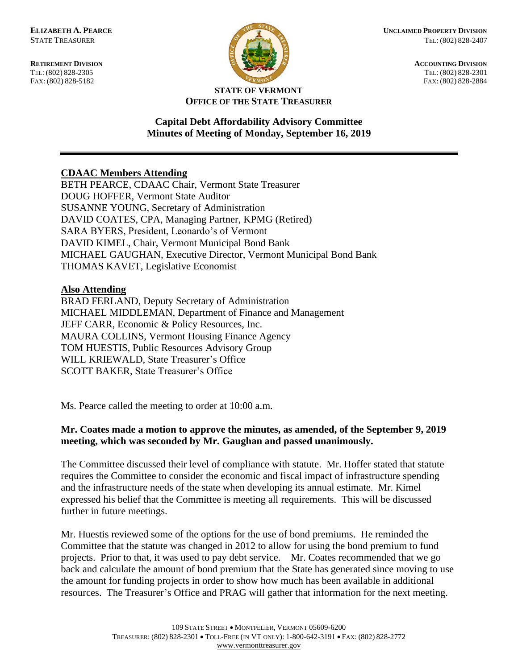FAX: (802) 828-5182



**RETIREMENT DIVISION ACCOUNTING DIVISION** TEL: (802) 828-2305<br>
FAX: (802) 828-2305<br>
FAX: (802) 828-2884<br>
TEL: (802) 828-2884

#### **STATE OF VERMONT OFFICE OF THE STATE TREASURER**

#### **Capital Debt Affordability Advisory Committee Minutes of Meeting of Monday, September 16, 2019**

## **CDAAC Members Attending**

BETH PEARCE, CDAAC Chair, Vermont State Treasurer DOUG HOFFER, Vermont State Auditor SUSANNE YOUNG, Secretary of Administration DAVID COATES, CPA, Managing Partner, KPMG (Retired) SARA BYERS, President, Leonardo's of Vermont DAVID KIMEL, Chair, Vermont Municipal Bond Bank MICHAEL GAUGHAN, Executive Director, Vermont Municipal Bond Bank THOMAS KAVET, Legislative Economist

## **Also Attending**

BRAD FERLAND, Deputy Secretary of Administration MICHAEL MIDDLEMAN, Department of Finance and Management JEFF CARR, Economic & Policy Resources, Inc. MAURA COLLINS, Vermont Housing Finance Agency TOM HUESTIS, Public Resources Advisory Group WILL KRIEWALD, State Treasurer's Office SCOTT BAKER, State Treasurer's Office

Ms. Pearce called the meeting to order at 10:00 a.m.

# **Mr. Coates made a motion to approve the minutes, as amended, of the September 9, 2019 meeting, which was seconded by Mr. Gaughan and passed unanimously.**

The Committee discussed their level of compliance with statute. Mr. Hoffer stated that statute requires the Committee to consider the economic and fiscal impact of infrastructure spending and the infrastructure needs of the state when developing its annual estimate. Mr. Kimel expressed his belief that the Committee is meeting all requirements. This will be discussed further in future meetings.

Mr. Huestis reviewed some of the options for the use of bond premiums. He reminded the Committee that the statute was changed in 2012 to allow for using the bond premium to fund projects. Prior to that, it was used to pay debt service. Mr. Coates recommended that we go back and calculate the amount of bond premium that the State has generated since moving to use the amount for funding projects in order to show how much has been available in additional resources. The Treasurer's Office and PRAG will gather that information for the next meeting.